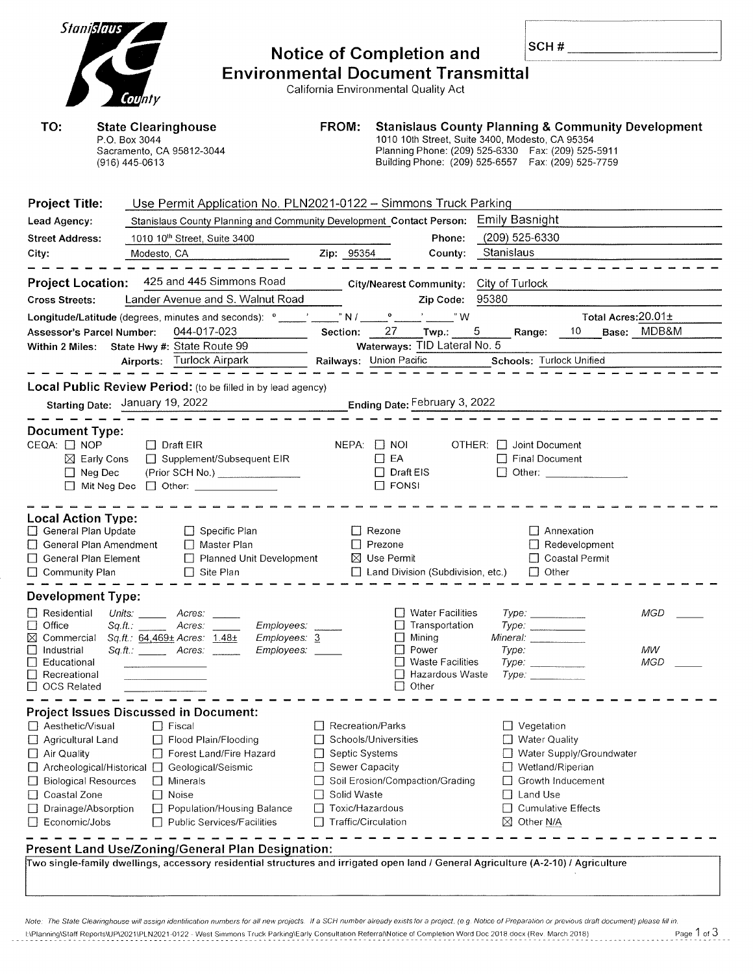| Stanislaus                                                                                                                                         |                                                                                                                                                                                                                                                                                                                                                                                                                                                                        |                                                                                                               | <b>Notice of Completion and</b>                                                                                                                                                                                                |                | SCH#                                                                                                                                                                             |                         |  |
|----------------------------------------------------------------------------------------------------------------------------------------------------|------------------------------------------------------------------------------------------------------------------------------------------------------------------------------------------------------------------------------------------------------------------------------------------------------------------------------------------------------------------------------------------------------------------------------------------------------------------------|---------------------------------------------------------------------------------------------------------------|--------------------------------------------------------------------------------------------------------------------------------------------------------------------------------------------------------------------------------|----------------|----------------------------------------------------------------------------------------------------------------------------------------------------------------------------------|-------------------------|--|
|                                                                                                                                                    | County                                                                                                                                                                                                                                                                                                                                                                                                                                                                 |                                                                                                               | <b>Environmental Document Transmittal</b><br>California Environmental Quality Act                                                                                                                                              |                |                                                                                                                                                                                  |                         |  |
| TO:<br><b>State Clearinghouse</b><br>P.O. Box 3044<br>Sacramento, CA 95812-3044<br>(916) 445-0613                                                  |                                                                                                                                                                                                                                                                                                                                                                                                                                                                        | FROM:                                                                                                         | <b>Stanislaus County Planning &amp; Community Development</b><br>1010 10th Street, Suite 3400, Modesto, CA 95354<br>Planning Phone: (209) 525-6330  Fax: (209) 525-5911<br>Building Phone: (209) 525-6557  Fax: (209) 525-7759 |                |                                                                                                                                                                                  |                         |  |
| <b>Project Title:</b><br>Lead Agency:<br><b>Street Address:</b>                                                                                    | Use Permit Application No. PLN2021-0122 - Simmons Truck Parking<br>Stanislaus County Planning and Community Development Contact Person: Emily Basnight<br>1010 10 <sup>th</sup> Street, Suite 3400                                                                                                                                                                                                                                                                     |                                                                                                               | Phone:                                                                                                                                                                                                                         | (209) 525-6330 |                                                                                                                                                                                  |                         |  |
| City:<br><b>Project Location:</b>                                                                                                                  | Modesto, CA<br>425 and 445 Simmons Road                                                                                                                                                                                                                                                                                                                                                                                                                                | Zip: 95354                                                                                                    | County:<br>City/Nearest Community: City of Turlock                                                                                                                                                                             | Stanislaus     |                                                                                                                                                                                  |                         |  |
| <b>Cross Streets:</b>                                                                                                                              | Lander Avenue and S. Walnut Road<br>Longitude/Latitude (degrees, minutes and seconds): $^{\circ}$ ____' ____" N / ____                                                                                                                                                                                                                                                                                                                                                 |                                                                                                               | Zip Code: 95380<br>$\circ$ $\qquad \circ$ $\qquad \circ$ $\mathsf{W}$                                                                                                                                                          |                | Total Acres: 20.01±                                                                                                                                                              |                         |  |
| Assessor's Parcel Number:                                                                                                                          | 044-017-023<br>Within 2 Miles: State Hwy #: State Route 99<br>Airports: Turlock Airpark                                                                                                                                                                                                                                                                                                                                                                                | Section:                                                                                                      | 27 Twp.: 5<br>Waterways: TID Lateral No. 5<br>Railways: Union Pacific Schools: Turlock Unified                                                                                                                                 |                | Range: 10 Base: MDB&M                                                                                                                                                            |                         |  |
| <b>Local Public Review Period:</b> (to be filled in by lead agency)<br>Ending Date: February 3, 2022<br>Starting Date: January 19, 2022            |                                                                                                                                                                                                                                                                                                                                                                                                                                                                        |                                                                                                               |                                                                                                                                                                                                                                |                |                                                                                                                                                                                  |                         |  |
| <b>Document Type:</b><br>CEQA: □ NOP<br>$\boxtimes$ Early Cons<br>$\Box$ Neg Dec                                                                   | $\Box$ Draft EIR<br>□ Supplement/Subsequent EIR<br>(Prior SCH No.) ________________<br>$\Box$ Mit Neg Dec $\Box$ Other: _______________                                                                                                                                                                                                                                                                                                                                |                                                                                                               | $NEPA:$ $\Box$ NOI<br>$\Box$ EA<br>$\Box$ Draft EIS<br>$\Box$ FONSI                                                                                                                                                            |                | OTHER: □ Joint Document<br>□ Final Document<br>□ Other: ____________                                                                                                             |                         |  |
| <b>Local Action Type:</b><br>General Plan Update<br>General Plan Amendment<br>General Plan Element<br>$\Box$ Community Plan                        | $\Box$ Specific Plan<br>$\Box$ Master Plan<br>Planned Unit Development<br>$\Box$ Site Plan                                                                                                                                                                                                                                                                                                                                                                             |                                                                                                               | $\Box$ Rezone<br>$\Box$ Prezone<br>$\boxtimes$ Use Permit<br>Land Division (Subdivision, etc.)                                                                                                                                 |                | $\Box$ Annexation<br>$\Box$ Redevelopment<br>□ Coastal Permit<br>$\Box$ Other                                                                                                    |                         |  |
| <b>Development Type:</b><br>Residential<br>Office<br>⊠<br>Commercial<br>Industrial<br>Educational<br>Recreational<br><b>OCS Related</b>            | Units: <b>Minutes</b><br>Acres:<br>Sq.ft.: Acres:<br>Employees:<br>Sq.ft.: 64,469± Acres: 1.48±<br>Employees: 3<br>Employees:                                                                                                                                                                                                                                                                                                                                          |                                                                                                               | <b>Water Facilities</b><br>Transportation<br>Mining<br>Power<br><b>Waste Facilities</b><br>Hazardous Waste<br>Other                                                                                                            | Type:          | Type:<br>Type:<br>Mineral: Mineral Mineral Management of the Society of the Society of the Society of the Society of the Society<br>Type:<br>Type:                               | MGD<br>МW<br><b>MGD</b> |  |
| Aesthetic/Visual<br>Agricultural Land<br>$\Box$ Air Quality<br><b>Biological Resources</b><br>Coastal Zone<br>Drainage/Absorption<br>Economic/Jobs | <b>Project Issues Discussed in Document:</b><br><b>T</b> Fiscal<br>Flood Plain/Flooding<br>Forest Land/Fire Hazard<br>□ Archeological/Historical □ Geological/Seismic<br>$\Box$ Minerals<br>$\Box$ Noise<br>Population/Housing Balance<br><b>Public Services/Facilities</b><br>Present Land Use/Zoning/General Plan Designation:<br>Two single-family dwellings, accessory residential structures and irrigated open land / General Agriculture (A-2-10) / Agriculture | Recreation/Parks<br>Septic Systems<br>Sewer Capacity<br>Solid Waste<br>Toxic/Hazardous<br>Traffic/Circulation | Schools/Universities<br>Soil Erosion/Compaction/Grading                                                                                                                                                                        |                | $\Box$ Vegetation<br>$\Box$ Water Quality<br>Water Supply/Groundwater<br>Wetland/Riperian<br>Growth Inducement<br>Land Use<br><b>Cumulative Effects</b><br>$\boxtimes$ Other N/A |                         |  |

| Note: The State Clearinghouse will assign identification numbers for all new projects. If a SCH number already exists for a project, (e.g. Notice of Preparation or previous draft document) please fill in. |             |
|--------------------------------------------------------------------------------------------------------------------------------------------------------------------------------------------------------------|-------------|
| E\Planning\Staff Reports\UP\2021\PLN2021-0122 - West Simmons Truck Parking\Early Consultation Referral\Notice of Completion Word Doc 2018 docx (Rev. March 2018)                                             | Page 1 of 3 |